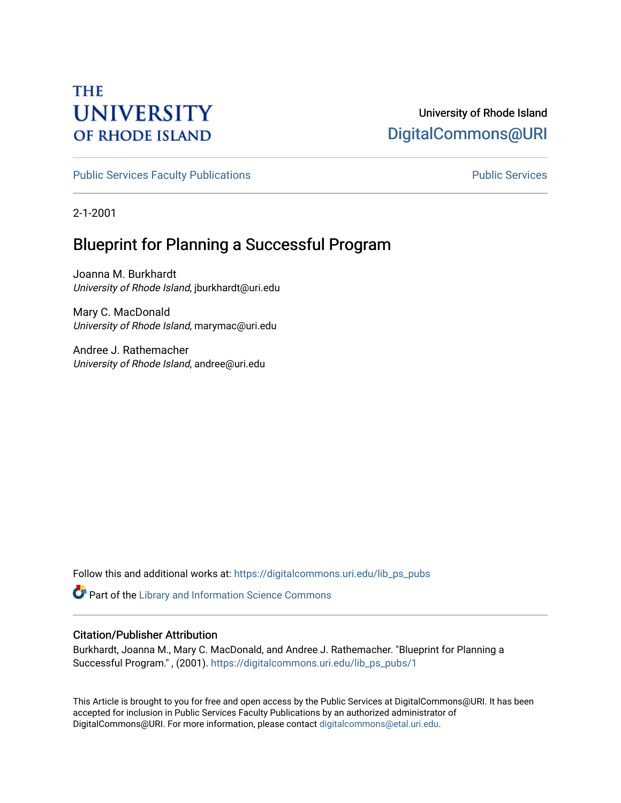# **THE UNIVERSITY OF RHODE ISLAND**

# University of Rhode Island [DigitalCommons@URI](https://digitalcommons.uri.edu/)

[Public Services Faculty Publications](https://digitalcommons.uri.edu/lib_ps_pubs) **Public Services** Public Services

2-1-2001

# Blueprint for Planning a Successful Program

Joanna M. Burkhardt University of Rhode Island, jburkhardt@uri.edu

Mary C. MacDonald University of Rhode Island, marymac@uri.edu

Andree J. Rathemacher University of Rhode Island, andree@uri.edu

Follow this and additional works at: [https://digitalcommons.uri.edu/lib\\_ps\\_pubs](https://digitalcommons.uri.edu/lib_ps_pubs?utm_source=digitalcommons.uri.edu%2Flib_ps_pubs%2F1&utm_medium=PDF&utm_campaign=PDFCoverPages) 

Part of the [Library and Information Science Commons](http://network.bepress.com/hgg/discipline/1018?utm_source=digitalcommons.uri.edu%2Flib_ps_pubs%2F1&utm_medium=PDF&utm_campaign=PDFCoverPages) 

#### Citation/Publisher Attribution

Burkhardt, Joanna M., Mary C. MacDonald, and Andree J. Rathemacher. "Blueprint for Planning a Successful Program." , (2001). [https://digitalcommons.uri.edu/lib\\_ps\\_pubs/1](https://digitalcommons.uri.edu/lib_ps_pubs/1?utm_source=digitalcommons.uri.edu%2Flib_ps_pubs%2F1&utm_medium=PDF&utm_campaign=PDFCoverPages) 

This Article is brought to you for free and open access by the Public Services at DigitalCommons@URI. It has been accepted for inclusion in Public Services Faculty Publications by an authorized administrator of DigitalCommons@URI. For more information, please contact [digitalcommons@etal.uri.edu.](mailto:digitalcommons@etal.uri.edu)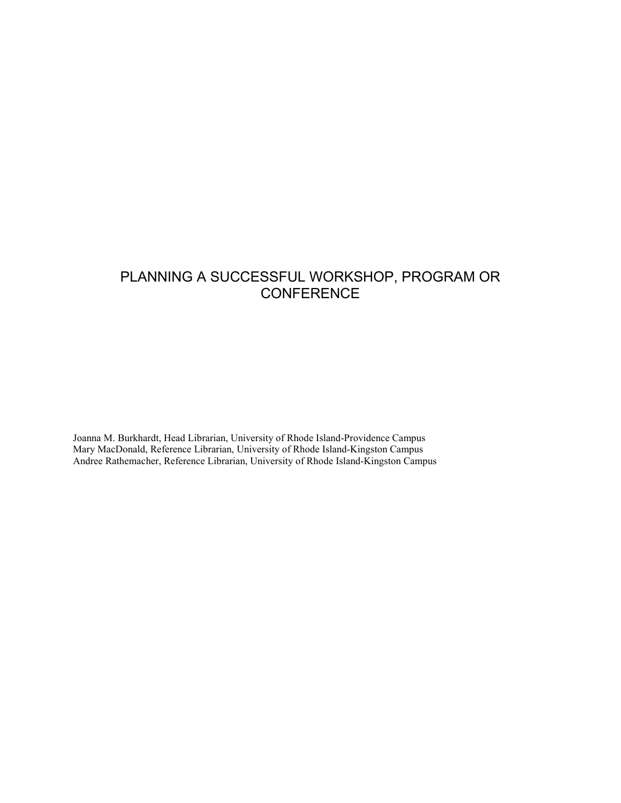## PLANNING A SUCCESSFUL WORKSHOP, PROGRAM OR **CONFERENCE**

Joanna M. Burkhardt, Head Librarian, University of Rhode Island-Providence Campus Mary MacDonald, Reference Librarian, University of Rhode Island-Kingston Campus Andree Rathemacher, Reference Librarian, University of Rhode Island-Kingston Campus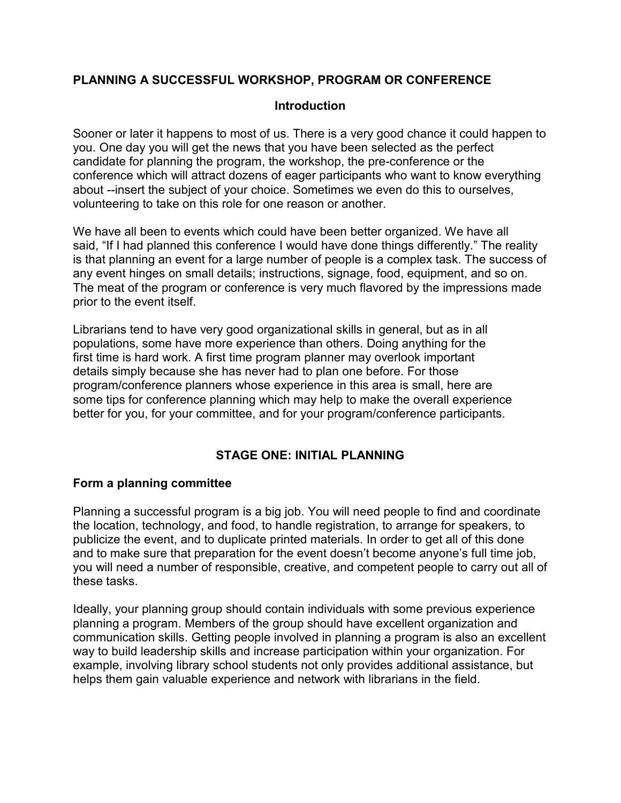### **PLANNING A SUCCESSFUL WORKSHOP, PROGRAM OR CONFERENCE**

#### **Introduction**

Sooner or later it happens to most of us. There is a very good chance it could happen to you. One day you will get the news that you have been selected as the perfect candidate for planning the program, the workshop, the pre-conference or the conference which will attract dozens of eager participants who want to know everything about --insert the subject of your choice. Sometimes we even do this to ourselves, volunteering to take on this role for one reason or another.

We have all been to events which could have been better organized. We have all said, "If I had planned this conference I would have done things differently." The reality is that planning an event for a large number of people is a complex task. The success of any event hinges on small details; instructions, signage, food, equipment, and so on. The meat of the program or conference is very much flavored by the impressions made prior to the event itself.

Librarians tend to have very good organizational skills in general, but as in all populations, some have more experience than others. Doing anything for the first time is hard work. A first time program planner may overlook important details simply because she has never had to plan one before. For those program/conference planners whose experience in this area is small, here are some tips for conference planning which may help to make the overall experience better for you, for your committee, and for your program/conference participants.

#### **STAGE ONE: INITIAL PLANNING**

#### **Form a planning committee**

Planning a successful program is a big job. You will need people to find and coordinate the location, technology, and food, to handle registration, to arrange for speakers, to publicize the event, and to duplicate printed materials. In order to get all of this done and to make sure that preparation for the event doesn't become anyone's full time job, you will need a number of responsible, creative, and competent people to carry out all of these tasks.

Ideally, your planning group should contain individuals with some previous experience planning a program. Members of the group should have excellent organization and communication skills. Getting people involved in planning a program is also an excellent way to build leadership skills and increase participation within your organization. For example, involving library school students not only provides additional assistance, but helps them gain valuable experience and network with librarians in the field.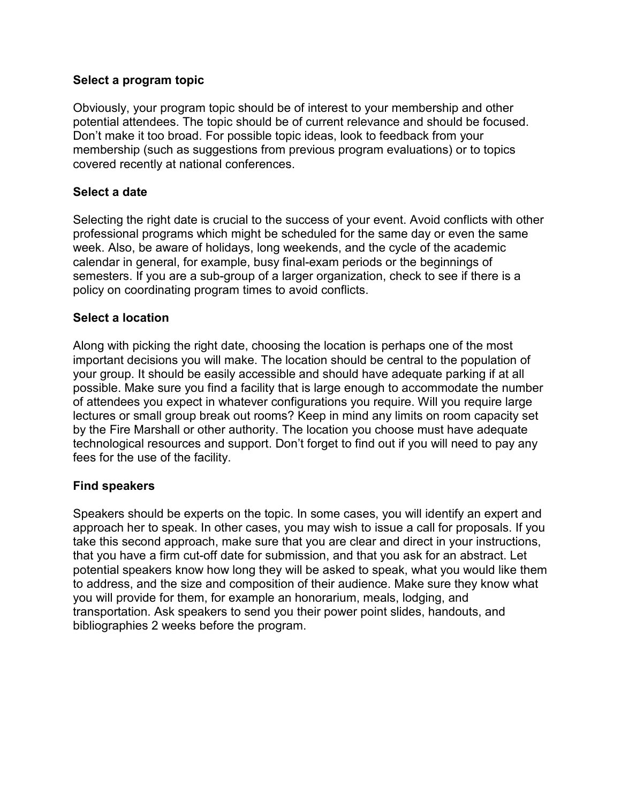#### **Select a program topic**

Obviously, your program topic should be of interest to your membership and other potential attendees. The topic should be of current relevance and should be focused. Don't make it too broad. For possible topic ideas, look to feedback from your membership (such as suggestions from previous program evaluations) or to topics covered recently at national conferences.

#### **Select a date**

Selecting the right date is crucial to the success of your event. Avoid conflicts with other professional programs which might be scheduled for the same day or even the same week. Also, be aware of holidays, long weekends, and the cycle of the academic calendar in general, for example, busy final-exam periods or the beginnings of semesters. If you are a sub-group of a larger organization, check to see if there is a policy on coordinating program times to avoid conflicts.

#### **Select a location**

Along with picking the right date, choosing the location is perhaps one of the most important decisions you will make. The location should be central to the population of your group. It should be easily accessible and should have adequate parking if at all possible. Make sure you find a facility that is large enough to accommodate the number of attendees you expect in whatever configurations you require. Will you require large lectures or small group break out rooms? Keep in mind any limits on room capacity set by the Fire Marshall or other authority. The location you choose must have adequate technological resources and support. Don't forget to find out if you will need to pay any fees for the use of the facility.

#### **Find speakers**

Speakers should be experts on the topic. In some cases, you will identify an expert and approach her to speak. In other cases, you may wish to issue a call for proposals. If you take this second approach, make sure that you are clear and direct in your instructions, that you have a firm cut-off date for submission, and that you ask for an abstract. Let potential speakers know how long they will be asked to speak, what you would like them to address, and the size and composition of their audience. Make sure they know what you will provide for them, for example an honorarium, meals, lodging, and transportation. Ask speakers to send you their power point slides, handouts, and bibliographies 2 weeks before the program.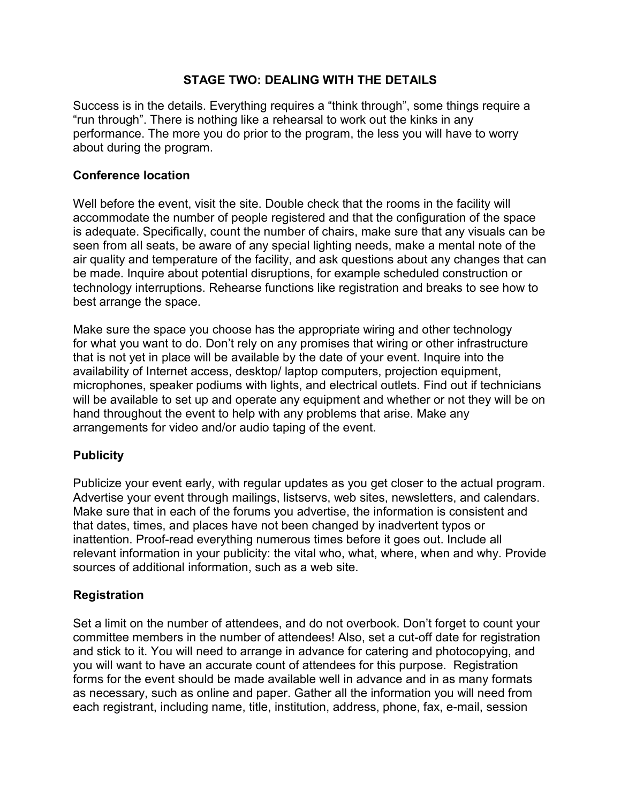#### **STAGE TWO: DEALING WITH THE DETAILS**

Success is in the details. Everything requires a "think through", some things require a "run through". There is nothing like a rehearsal to work out the kinks in any performance. The more you do prior to the program, the less you will have to worry about during the program.

#### **Conference location**

Well before the event, visit the site. Double check that the rooms in the facility will accommodate the number of people registered and that the configuration of the space is adequate. Specifically, count the number of chairs, make sure that any visuals can be seen from all seats, be aware of any special lighting needs, make a mental note of the air quality and temperature of the facility, and ask questions about any changes that can be made. Inquire about potential disruptions, for example scheduled construction or technology interruptions. Rehearse functions like registration and breaks to see how to best arrange the space.

Make sure the space you choose has the appropriate wiring and other technology for what you want to do. Don't rely on any promises that wiring or other infrastructure that is not yet in place will be available by the date of your event. Inquire into the availability of Internet access, desktop/ laptop computers, projection equipment, microphones, speaker podiums with lights, and electrical outlets. Find out if technicians will be available to set up and operate any equipment and whether or not they will be on hand throughout the event to help with any problems that arise. Make any arrangements for video and/or audio taping of the event.

### **Publicity**

Publicize your event early, with regular updates as you get closer to the actual program. Advertise your event through mailings, listservs, web sites, newsletters, and calendars. Make sure that in each of the forums you advertise, the information is consistent and that dates, times, and places have not been changed by inadvertent typos or inattention. Proof-read everything numerous times before it goes out. Include all relevant information in your publicity: the vital who, what, where, when and why. Provide sources of additional information, such as a web site.

#### **Registration**

Set a limit on the number of attendees, and do not overbook. Don't forget to count your committee members in the number of attendees! Also, set a cut-off date for registration and stick to it. You will need to arrange in advance for catering and photocopying, and you will want to have an accurate count of attendees for this purpose. Registration forms for the event should be made available well in advance and in as many formats as necessary, such as online and paper. Gather all the information you will need from each registrant, including name, title, institution, address, phone, fax, e-mail, session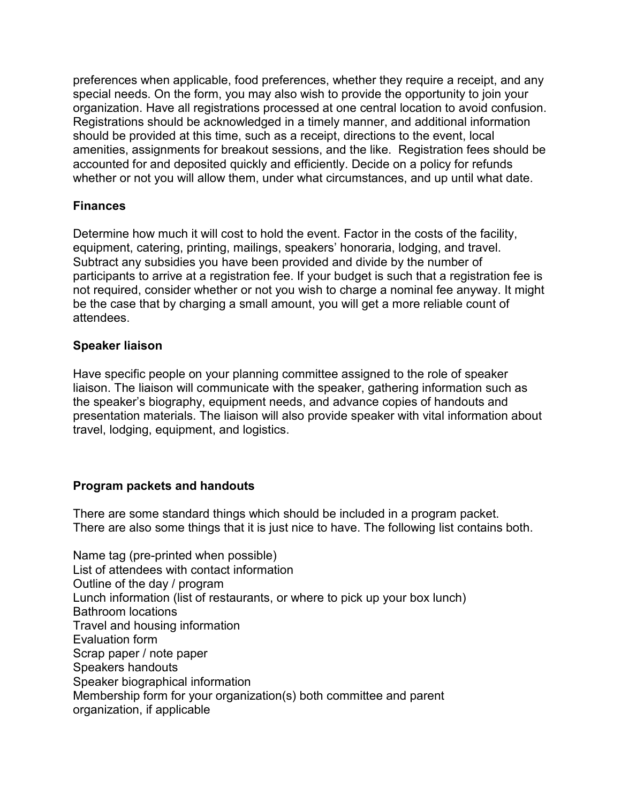preferences when applicable, food preferences, whether they require a receipt, and any special needs. On the form, you may also wish to provide the opportunity to join your organization. Have all registrations processed at one central location to avoid confusion. Registrations should be acknowledged in a timely manner, and additional information should be provided at this time, such as a receipt, directions to the event, local amenities, assignments for breakout sessions, and the like. Registration fees should be accounted for and deposited quickly and efficiently. Decide on a policy for refunds whether or not you will allow them, under what circumstances, and up until what date.

#### **Finances**

Determine how much it will cost to hold the event. Factor in the costs of the facility, equipment, catering, printing, mailings, speakers' honoraria, lodging, and travel. Subtract any subsidies you have been provided and divide by the number of participants to arrive at a registration fee. If your budget is such that a registration fee is not required, consider whether or not you wish to charge a nominal fee anyway. It might be the case that by charging a small amount, you will get a more reliable count of attendees.

#### **Speaker liaison**

Have specific people on your planning committee assigned to the role of speaker liaison. The liaison will communicate with the speaker, gathering information such as the speaker's biography, equipment needs, and advance copies of handouts and presentation materials. The liaison will also provide speaker with vital information about travel, lodging, equipment, and logistics.

### **Program packets and handouts**

There are some standard things which should be included in a program packet. There are also some things that it is just nice to have. The following list contains both.

Name tag (pre-printed when possible) List of attendees with contact information Outline of the day / program Lunch information (list of restaurants, or where to pick up your box lunch) Bathroom locations Travel and housing information Evaluation form Scrap paper / note paper Speakers handouts Speaker biographical information Membership form for your organization(s) both committee and parent organization, if applicable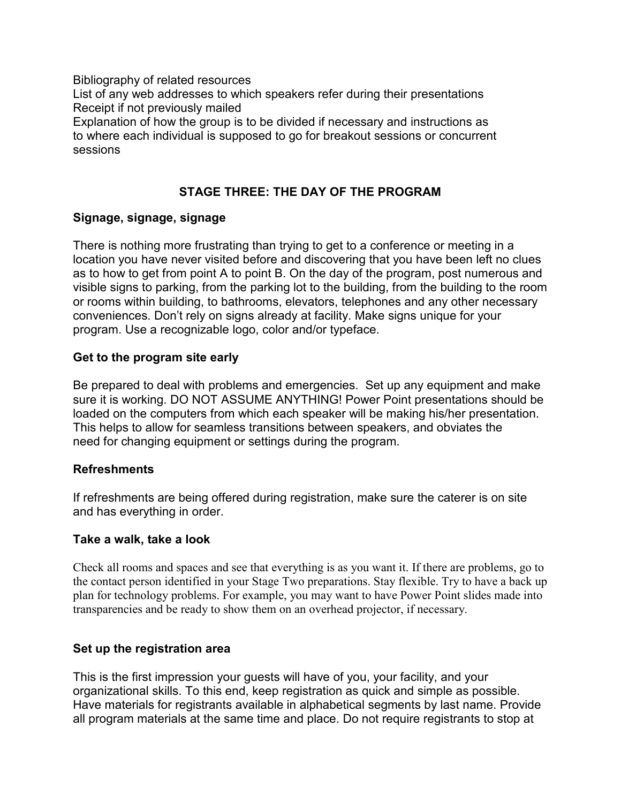Bibliography of related resources List of any web addresses to which speakers refer during their presentations Receipt if not previously mailed Explanation of how the group is to be divided if necessary and instructions as to where each individual is supposed to go for breakout sessions or concurrent sessions

### **STAGE THREE: THE DAY OF THE PROGRAM**

#### **Signage, signage, signage**

There is nothing more frustrating than trying to get to a conference or meeting in a location you have never visited before and discovering that you have been left no clues as to how to get from point A to point B. On the day of the program, post numerous and visible signs to parking, from the parking lot to the building, from the building to the room or rooms within building, to bathrooms, elevators, telephones and any other necessary conveniences. Don't rely on signs already at facility. Make signs unique for your program. Use a recognizable logo, color and/or typeface.

#### **Get to the program site early**

Be prepared to deal with problems and emergencies. Set up any equipment and make sure it is working. DO NOT ASSUME ANYTHING! Power Point presentations should be loaded on the computers from which each speaker will be making his/her presentation. This helps to allow for seamless transitions between speakers, and obviates the need for changing equipment or settings during the program.

#### **Refreshments**

If refreshments are being offered during registration, make sure the caterer is on site and has everything in order.

#### **Take a walk, take a look**

Check all rooms and spaces and see that everything is as you want it. If there are problems, go to the contact person identified in your Stage Two preparations. Stay flexible. Try to have a back up plan for technology problems. For example, you may want to have Power Point slides made into transparencies and be ready to show them on an overhead projector, if necessary.

#### **Set up the registration area**

This is the first impression your guests will have of you, your facility, and your organizational skills. To this end, keep registration as quick and simple as possible. Have materials for registrants available in alphabetical segments by last name. Provide all program materials at the same time and place. Do not require registrants to stop at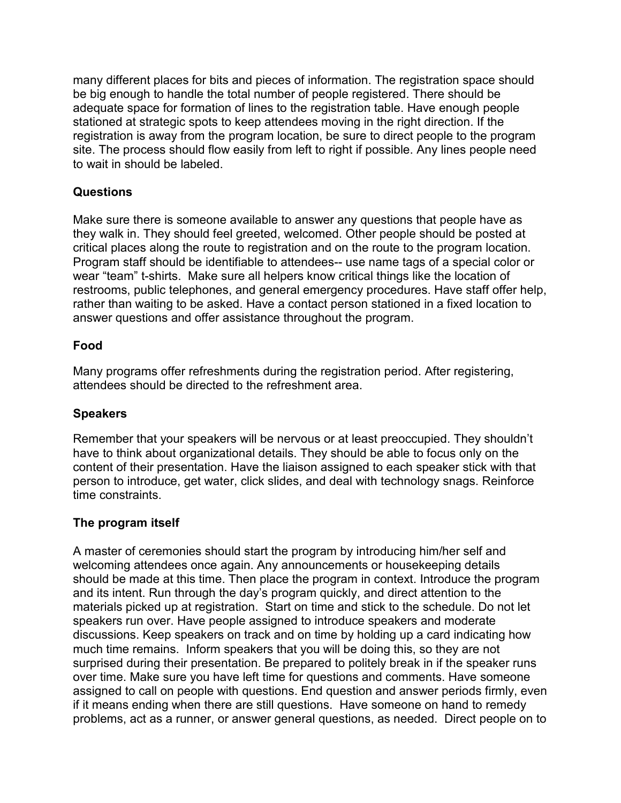many different places for bits and pieces of information. The registration space should be big enough to handle the total number of people registered. There should be adequate space for formation of lines to the registration table. Have enough people stationed at strategic spots to keep attendees moving in the right direction. If the registration is away from the program location, be sure to direct people to the program site. The process should flow easily from left to right if possible. Any lines people need to wait in should be labeled.

### **Questions**

Make sure there is someone available to answer any questions that people have as they walk in. They should feel greeted, welcomed. Other people should be posted at critical places along the route to registration and on the route to the program location. Program staff should be identifiable to attendees-- use name tags of a special color or wear "team" t-shirts. Make sure all helpers know critical things like the location of restrooms, public telephones, and general emergency procedures. Have staff offer help, rather than waiting to be asked. Have a contact person stationed in a fixed location to answer questions and offer assistance throughout the program.

### **Food**

Many programs offer refreshments during the registration period. After registering, attendees should be directed to the refreshment area.

## **Speakers**

Remember that your speakers will be nervous or at least preoccupied. They shouldn't have to think about organizational details. They should be able to focus only on the content of their presentation. Have the liaison assigned to each speaker stick with that person to introduce, get water, click slides, and deal with technology snags. Reinforce time constraints.

## **The program itself**

A master of ceremonies should start the program by introducing him/her self and welcoming attendees once again. Any announcements or housekeeping details should be made at this time. Then place the program in context. Introduce the program and its intent. Run through the day's program quickly, and direct attention to the materials picked up at registration. Start on time and stick to the schedule. Do not let speakers run over. Have people assigned to introduce speakers and moderate discussions. Keep speakers on track and on time by holding up a card indicating how much time remains. Inform speakers that you will be doing this, so they are not surprised during their presentation. Be prepared to politely break in if the speaker runs over time. Make sure you have left time for questions and comments. Have someone assigned to call on people with questions. End question and answer periods firmly, even if it means ending when there are still questions. Have someone on hand to remedy problems, act as a runner, or answer general questions, as needed. Direct people on to